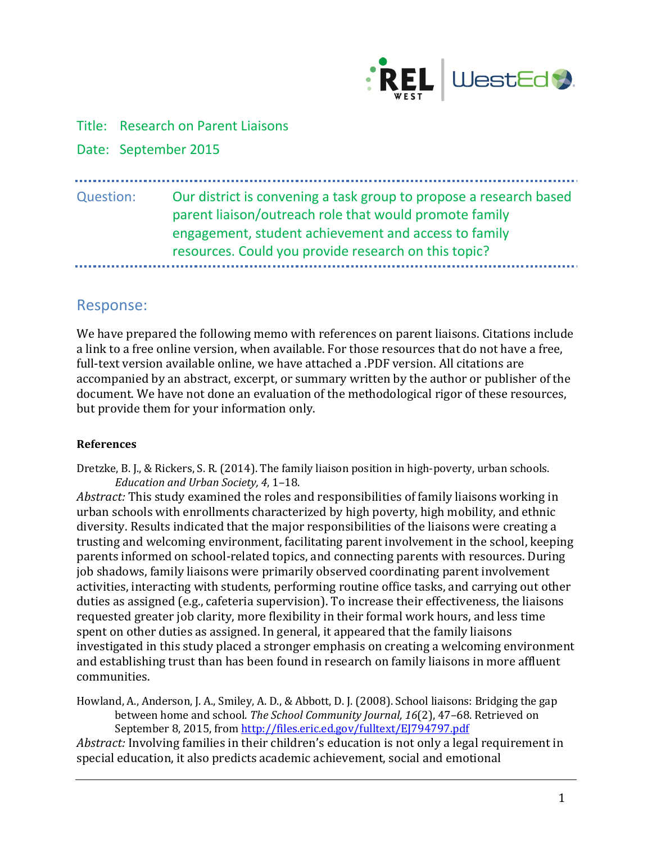

Title: Research on Parent Liaisons

Date: September 2015

# Question: Our district is convening a task group to propose a research based parent liaison/outreach role that would promote family engagement, student achievement and access to family resources. Could you provide research on this topic?

## Response:

We have prepared the following memo with references on parent liaisons. Citations include a link to a free online version, when available. For those resources that do not have a free, full-text version available online, we have attached a .PDF version. All citations are accompanied by an abstract, excerpt, or summary written by the author or publisher of the document. We have not done an evaluation of the methodological rigor of these resources, but provide them for your information only.

### **References**

Dretzke, B. J., & Rickers, S. R. (2014). The family liaison position in high-poverty, urban schools. *Education and Urban Society, 4*, 1–18.

*Abstract:* This study examined the roles and responsibilities of family liaisons working in urban schools with enrollments characterized by high poverty, high mobility, and ethnic diversity. Results indicated that the major responsibilities of the liaisons were creating a trusting and welcoming environment, facilitating parent involvement in the school, keeping parents informed on school-related topics, and connecting parents with resources. During job shadows, family liaisons were primarily observed coordinating parent involvement activities, interacting with students, performing routine office tasks, and carrying out other duties as assigned (e.g., cafeteria supervision). To increase their effectiveness, the liaisons requested greater job clarity, more flexibility in their formal work hours, and less time spent on other duties as assigned. In general, it appeared that the family liaisons investigated in this study placed a stronger emphasis on creating a welcoming environment and establishing trust than has been found in research on family liaisons in more affluent communities.

Howland, A., Anderson, J. A., Smiley, A. D., & Abbott, D. J. (2008). School liaisons: Bridging the gap between home and school. *The School Community Journal, 16*(2), 47–68. Retrieved on September 8, 2015, fro[m http://files.eric.ed.gov/fulltext/EJ794797.pdf](http://files.eric.ed.gov/fulltext/EJ794797.pdf)

*Abstract:* Involving families in their children's education is not only a legal requirement in special education, it also predicts academic achievement, social and emotional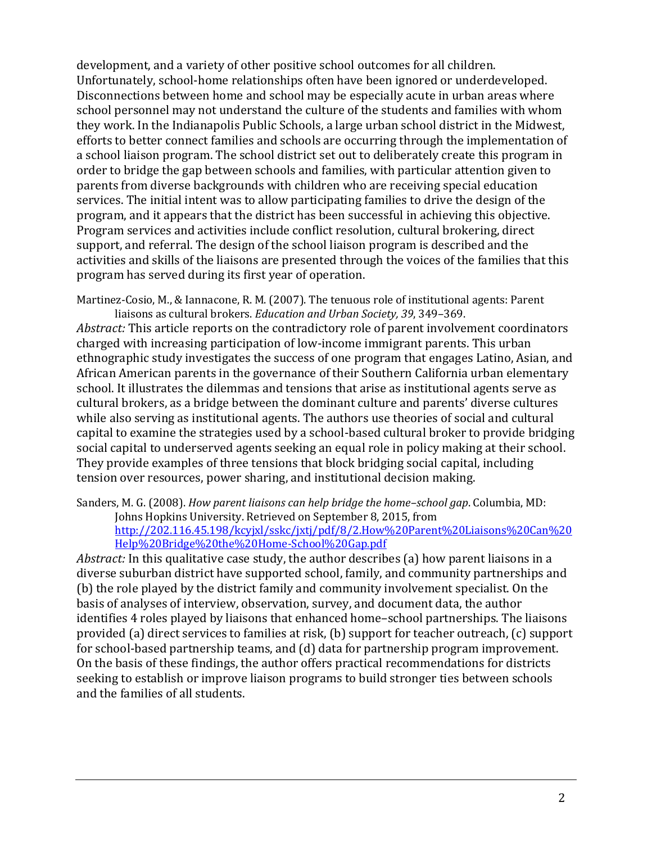development, and a variety of other positive school outcomes for all children. Unfortunately, school-home relationships often have been ignored or underdeveloped. Disconnections between home and school may be especially acute in urban areas where school personnel may not understand the culture of the students and families with whom they work. In the Indianapolis Public Schools, a large urban school district in the Midwest, efforts to better connect families and schools are occurring through the implementation of a school liaison program. The school district set out to deliberately create this program in order to bridge the gap between schools and families, with particular attention given to parents from diverse backgrounds with children who are receiving special education services. The initial intent was to allow participating families to drive the design of the program, and it appears that the district has been successful in achieving this objective. Program services and activities include conflict resolution, cultural brokering, direct support, and referral. The design of the school liaison program is described and the activities and skills of the liaisons are presented through the voices of the families that this program has served during its first year of operation.

Martinez-Cosio, M., & Iannacone, R. M. (2007). The tenuous role of institutional agents: Parent liaisons as cultural brokers. *Education and Urban Society, 39*, 349–369.

*Abstract:* This article reports on the contradictory role of parent involvement coordinators charged with increasing participation of low-income immigrant parents. This urban ethnographic study investigates the success of one program that engages Latino, Asian, and African American parents in the governance of their Southern California urban elementary school. It illustrates the dilemmas and tensions that arise as institutional agents serve as cultural brokers, as a bridge between the dominant culture and parents' diverse cultures while also serving as institutional agents. The authors use theories of social and cultural capital to examine the strategies used by a school-based cultural broker to provide bridging social capital to underserved agents seeking an equal role in policy making at their school. They provide examples of three tensions that block bridging social capital, including tension over resources, power sharing, and institutional decision making.

Sanders, M. G. (2008). *How parent liaisons can help bridge the home–school gap*. Columbia, MD: Johns Hopkins University. Retrieved on September 8, 2015, from [http://202.116.45.198/kcyjxl/sskc/jxtj/pdf/8/2.How%20Parent%20Liaisons%20Can%20](http://202.116.45.198/kcyjxl/sskc/jxtj/pdf/8/2.How%20Parent%20Liaisons%20Can%20Help%20Bridge%20the%20Home-School%20Gap.pdf) [Help%20Bridge%20the%20Home-School%20Gap.pdf](http://202.116.45.198/kcyjxl/sskc/jxtj/pdf/8/2.How%20Parent%20Liaisons%20Can%20Help%20Bridge%20the%20Home-School%20Gap.pdf)

*Abstract:* In this qualitative case study, the author describes (a) how parent liaisons in a diverse suburban district have supported school, family, and community partnerships and (b) the role played by the district family and community involvement specialist. On the basis of analyses of interview, observation, survey, and document data, the author identifies 4 roles played by liaisons that enhanced home–school partnerships. The liaisons provided (a) direct services to families at risk, (b) support for teacher outreach, (c) support for school-based partnership teams, and (d) data for partnership program improvement. On the basis of these findings, the author offers practical recommendations for districts seeking to establish or improve liaison programs to build stronger ties between schools and the families of all students.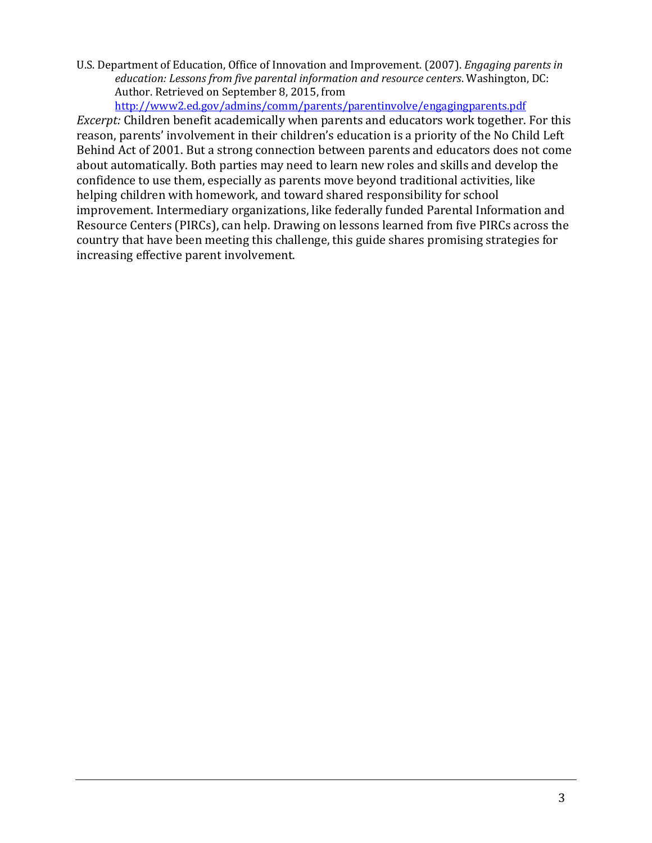U.S. Department of Education, Office of Innovation and Improvement. (2007). *Engaging parents in education: Lessons from five parental information and resource centers*. Washington, DC: Author. Retrieved on September 8, 2015, from

<http://www2.ed.gov/admins/comm/parents/parentinvolve/engagingparents.pdf>

*Excerpt:* Children benefit academically when parents and educators work together. For this reason, parents' involvement in their children's education is a priority of the No Child Left Behind Act of 2001. But a strong connection between parents and educators does not come about automatically. Both parties may need to learn new roles and skills and develop the confidence to use them, especially as parents move beyond traditional activities, like helping children with homework, and toward shared responsibility for school improvement. Intermediary organizations, like federally funded Parental Information and Resource Centers (PIRCs), can help. Drawing on lessons learned from five PIRCs across the country that have been meeting this challenge, this guide shares promising strategies for increasing effective parent involvement.